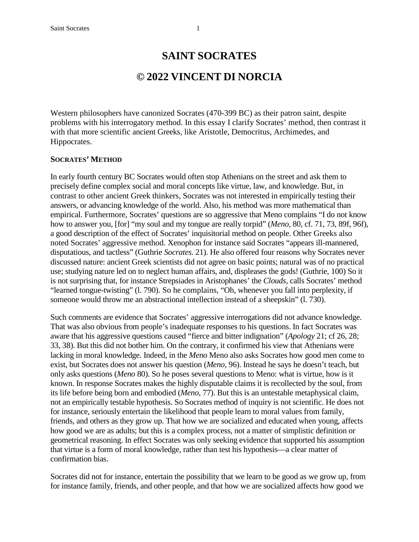## **SAINT SOCRATES**

# **© 2022 VINCENT DI NORCIA**

Western philosophers have canonized Socrates (470-399 BC) as their patron saint, despite problems with his interrogatory method. In this essay I clarify Socrates' method, then contrast it with that more scientific ancient Greeks, like Aristotle, Democritus, Archimedes, and Hippocrates.

#### **SOCRATES' METHOD**

In early fourth century BC Socrates would often stop Athenians on the street and ask them to precisely define complex social and moral concepts like virtue, law, and knowledge. But, in contrast to other ancient Greek thinkers, Socrates was not interested in empirically testing their answers, or advancing knowledge of the world. Also, his method was more mathematical than empirical. Furthermore, Socrates' questions are so aggressive that Meno complains "I do not know how to answer you, [for] "my soul and my tongue are really torpid" (*Meno,* 80, cf. 71, 73, 89f, 96f), a good description of the effect of Socrates' inquisitorial method on people. Other Greeks also noted Socrates' aggressive method. Xenophon for instance said Socrates "appears ill-mannered, disputatious, and tactless" (Guthrie *Socrates*. 21). He also offered four reasons why Socrates never discussed nature: ancient Greek scientists did not agree on basic points; natural was of no practical use; studying nature led on to neglect human affairs, and, displeases the gods! (Guthrie, 100) So it is not surprising that, for instance Strepsiades in Aristophanes' the *Clouds,* calls Socrates' method "learned tongue-twisting" (l. 790). So he complains, "Oh, whenever you fall into perplexity, if someone would throw me an abstractional intellection instead of a sheepskin" (l. 730).

Such comments are evidence that Socrates' aggressive interrogations did not advance knowledge. That was also obvious from people's inadequate responses to his questions. In fact Socrates was aware that his aggressive questions caused "fierce and bitter indignation" (*Apology* 21; cf 26, 28; 33, 38). But this did not bother him. On the contrary, it confirmed his view that Athenians were lacking in moral knowledge. Indeed, in the *Meno* Meno also asks Socrates how good men come to exist, but Socrates does not answer his question (*Meno*, 96). Instead he says he doesn't teach, but only asks questions (*Meno* 80). So he poses several questions to Meno: what is virtue, how is it known. In response Socrates makes the highly disputable claims it is recollected by the soul, from its life before being born and embodied (*Meno*, 77). But this is an untestable metaphysical claim, not an empirically testable hypothesis. So Socrates method of inquiry is not scientific. He does not for instance, seriously entertain the likelihood that people learn to moral values from family, friends, and others as they grow up. That how we are socialized and educated when young, affects how good we are as adults; but this is a complex process, not a matter of simplistic definition or geometrical reasoning. In effect Socrates was only seeking evidence that supported his assumption that virtue is a form of moral knowledge, rather than test his hypothesis—a clear matter of confirmation bias.

Socrates did not for instance, entertain the possibility that we learn to be good as we grow up, from for instance family, friends, and other people, and that how we are socialized affects how good we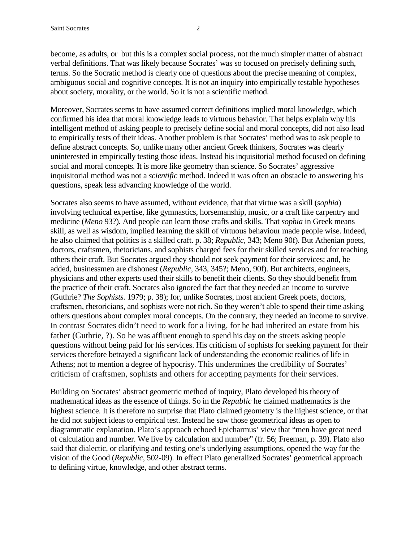become, as adults, or but this is a complex social process, not the much simpler matter of abstract verbal definitions. That was likely because Socrates' was so focused on precisely defining such, terms. So the Socratic method is clearly one of questions about the precise meaning of complex, ambiguous social and cognitive concepts. It is not an inquiry into empirically testable hypotheses about society, morality, or the world. So it is not a scientific method.

Moreover, Socrates seems to have assumed correct definitions implied moral knowledge, which confirmed his idea that moral knowledge leads to virtuous behavior. That helps explain why his intelligent method of asking people to precisely define social and moral concepts, did not also lead to empirically tests of their ideas. Another problem is that Socrates' method was to ask people to define abstract concepts. So, unlike many other ancient Greek thinkers, Socrates was clearly uninterested in empirically testing those ideas. Instead his inquisitorial method focused on defining social and moral concepts. It is more like geometry than science. So Socrates' aggressive inquisitorial method was not a *scientific* method. Indeed it was often an obstacle to answering his questions, speak less advancing knowledge of the world.

Socrates also seems to have assumed, without evidence, that that virtue was a skill (*sophia*) involving technical expertise, like gymnastics, horsemanship, music, or a craft like carpentry and medicine (*Meno* 93?). And people can learn those crafts and skills. That *sophia* in Greek means skill, as well as wisdom, implied learning the skill of virtuous behaviour made people wise. Indeed, he also claimed that politics is a skilled craft. p. 38; *Republic,* 343; Meno 90f). But Athenian poets, doctors, craftsmen, rhetoricians, and sophists charged fees for their skilled services and for teaching others their craft. But Socrates argued they should not seek payment for their services; and, he added, businessmen are dishonest (*Republic,* 343, 345?; Meno, 90f). But architects, engineers, physicians and other experts used their skills to benefit their clients. So they should benefit from the practice of their craft. Socrates also ignored the fact that they needed an income to survive (Guthrie? *The Sophists.* 1979; p. 38); for, unlike Socrates, most ancient Greek poets, doctors, craftsmen, rhetoricians, and sophists were not rich. So they weren't able to spend their time asking others questions about complex moral concepts. On the contrary, they needed an income to survive. In contrast Socrates didn't need to work for a living, for he had inherited an estate from his father (Guthrie, ?). So he was affluent enough to spend his day on the streets asking people questions without being paid for his services. His criticism of sophists for seeking payment for their services therefore betrayed a significant lack of understanding the economic realities of life in Athens; not to mention a degree of hypocrisy. This undermines the credibility of Socrates' criticism of craftsmen, sophists and others for accepting payments for their services.

Building on Socrates' abstract geometric method of inquiry, Plato developed his theory of mathematical ideas as the essence of things. So in the *Republic* he claimed mathematics is the highest science. It is therefore no surprise that Plato claimed geometry is the highest science, or that he did not subject ideas to empirical test. Instead he saw those geometrical ideas as open to diagrammatic explanation. Plato's approach echoed Epicharmus' view that "men have great need of calculation and number. We live by calculation and number" (fr. 56; Freeman, p. 39). Plato also said that dialectic, or clarifying and testing one's underlying assumptions, opened the way for the vision of the Good (*Republic*, 502-09). In effect Plato generalized Socrates' geometrical approach to defining virtue, knowledge, and other abstract terms.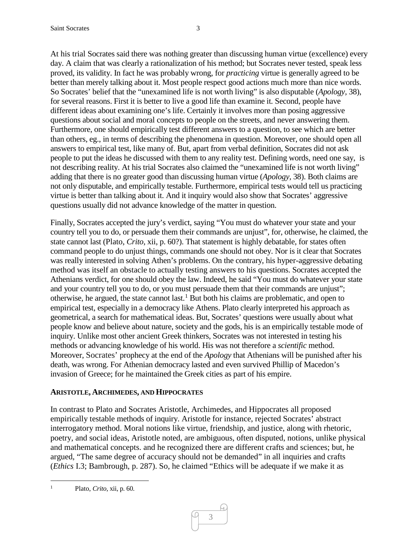At his trial Socrates said there was nothing greater than discussing human virtue (excellence) every day. A claim that was clearly a rationalization of his method; but Socrates never tested, speak less proved, its validity. In fact he was probably wrong, for *practicing* virtue is generally agreed to be better than merely talking about it. Most people respect good actions much more than nice words. So Socrates' belief that the "unexamined life is not worth living" is also disputable (*Apology,* 38), for several reasons. First it is better to live a good life than examine it. Second, people have different ideas about examining one's life. Certainly it involves more than posing aggressive questions about social and moral concepts to people on the streets, and never answering them. Furthermore, one should empirically test different answers to a question, to see which are better than others, eg., in terms of describing the phenomena in question. Moreover, one should open all answers to empirical test, like many of. But, apart from verbal definition, Socrates did not ask people to put the ideas he discussed with them to any reality test. Defining words, need one say, is not describing reality. At his trial Socrates also claimed the "unexamined life is not worth living" adding that there is no greater good than discussing human virtue (*Apology,* 38). Both claims are not only disputable, and empirically testable. Furthermore, empirical tests would tell us practicing virtue is better than talking about it. And it inquiry would also show that Socrates' aggressive questions usually did not advance knowledge of the matter in question.

Finally, Socrates accepted the jury's verdict, saying "You must do whatever your state and your country tell you to do, or persuade them their commands are unjust", for, otherwise, he claimed, the state cannot last (Plato, *Crito*, xii, p. 60?). That statement is highly debatable, for states often command people to do unjust things, commands one should not obey. Nor is it clear that Socrates was really interested in solving Athen's problems. On the contrary, his hyper-aggressive debating method was itself an obstacle to actually testing answers to his questions. Socrates accepted the Athenians verdict, for one should obey the law. Indeed, he said "You must do whatever your state and your country tell you to do, or you must persuade them that their commands are unjust"; otherwise, he argued, the state cannot last.<sup>[1](#page-2-0)</sup> But both his claims are problematic, and open to empirical test, especially in a democracy like Athens. Plato clearly interpreted his approach as geometrical, a search for mathematical ideas. But, Socrates' questions were usually about what people know and believe about nature, society and the gods, his is an empirically testable mode of inquiry. Unlike most other ancient Greek thinkers, Socrates was not interested in testing his methods or advancing knowledge of his world. His was not therefore a *scientific* method. Moreover, Socrates' prophecy at the end of the *Apology* that Athenians will be punished after his death, was wrong. For Athenian democracy lasted and even survived Phillip of Macedon's invasion of Greece; for he maintained the Greek cities as part of his empire.

### **ARISTOTLE, ARCHIMEDES, AND HIPPOCRATES**

In contrast to Plato and Socrates Aristotle, Archimedes, and Hippocrates all proposed empirically testable methods of inquiry. Aristotle for instance, rejected Socrates' abstract interrogatory method. Moral notions like virtue, friendship, and justice, along with rhetoric, poetry, and social ideas, Aristotle noted, are ambiguous, often disputed, notions, unlike physical and mathematical concepts. and he recognized there are different crafts and sciences; but, he argued, "The same degree of accuracy should not be demanded" in all inquiries and crafts (*Ethics* I.3; Bambrough, p. 287). So, he claimed "Ethics will be adequate if we make it as

<span id="page-2-0"></span> <sup>1</sup> Plato, *Crito*, xii, p. 60.